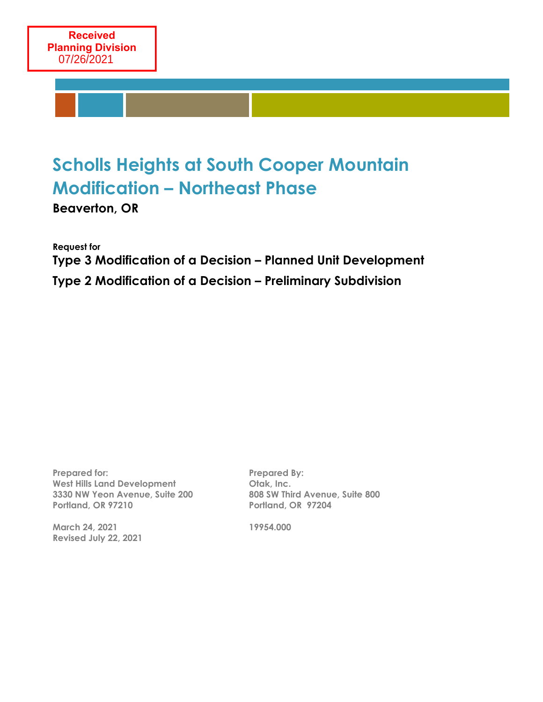# **Scholls Heights at South Cooper Mountain Modification – Northeast Phase**

**Beaverton, OR**

**Request for**

**Type 3 Modification of a Decision – Planned Unit Development Type 2 Modification of a Decision – Preliminary Subdivision**

**Prepared for: West Hills Land Development 3330 NW Yeon Avenue, Suite 200 Portland, OR 97210**

**March 24, 2021 Revised July 22, 2021**

**Prepared By: Otak, Inc. 808 SW Third Avenue, Suite 800 Portland, OR 97204**

**19954.000**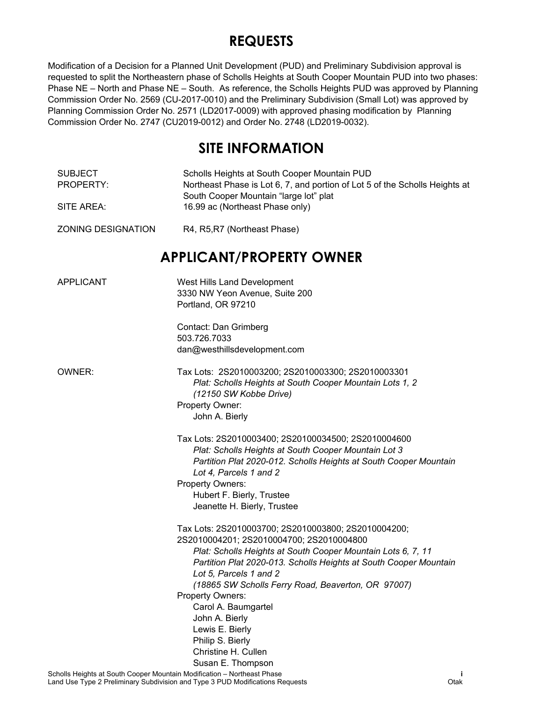## **REQUESTS**

Modification of a Decision for a Planned Unit Development (PUD) and Preliminary Subdivision approval is requested to split the Northeastern phase of Scholls Heights at South Cooper Mountain PUD into two phases: Phase NE – North and Phase NE – South. As reference, the Scholls Heights PUD was approved by Planning Commission Order No. 2569 (CU-2017-0010) and the Preliminary Subdivision (Small Lot) was approved by Planning Commission Order No. 2571 (LD2017-0009) with approved phasing modification by Planning Commission Order No. 2747 (CU2019-0012) and Order No. 2748 (LD2019-0032).

## **SITE INFORMATION**

| <b>SUBJECT</b><br>PROPERTY:<br>SITE AREA: | Scholls Heights at South Cooper Mountain PUD<br>Northeast Phase is Lot 6, 7, and portion of Lot 5 of the Scholls Heights at<br>South Cooper Mountain "large lot" plat<br>16.99 ac (Northeast Phase only)                                                                                                                                                                                                                                                                    |  |
|-------------------------------------------|-----------------------------------------------------------------------------------------------------------------------------------------------------------------------------------------------------------------------------------------------------------------------------------------------------------------------------------------------------------------------------------------------------------------------------------------------------------------------------|--|
| <b>ZONING DESIGNATION</b>                 | R4, R5, R7 (Northeast Phase)                                                                                                                                                                                                                                                                                                                                                                                                                                                |  |
|                                           | <b>APPLICANT/PROPERTY OWNER</b>                                                                                                                                                                                                                                                                                                                                                                                                                                             |  |
| <b>APPLICANT</b>                          | West Hills Land Development<br>3330 NW Yeon Avenue, Suite 200<br>Portland, OR 97210                                                                                                                                                                                                                                                                                                                                                                                         |  |
|                                           | Contact: Dan Grimberg<br>503.726.7033<br>dan@westhillsdevelopment.com                                                                                                                                                                                                                                                                                                                                                                                                       |  |
| OWNER:                                    | Tax Lots: 2S2010003200; 2S2010003300; 2S2010003301<br>Plat: Scholls Heights at South Cooper Mountain Lots 1, 2<br>(12150 SW Kobbe Drive)<br>Property Owner:<br>John A. Bierly                                                                                                                                                                                                                                                                                               |  |
|                                           | Tax Lots: 2S2010003400; 2S20100034500; 2S2010004600<br>Plat: Scholls Heights at South Cooper Mountain Lot 3<br>Partition Plat 2020-012. Scholls Heights at South Cooper Mountain<br>Lot 4, Parcels 1 and 2<br>Property Owners:<br>Hubert F. Bierly, Trustee<br>Jeanette H. Bierly, Trustee                                                                                                                                                                                  |  |
|                                           | Tax Lots: 2S2010003700; 2S2010003800; 2S2010004200;<br>2S2010004201; 2S2010004700; 2S2010004800<br>Plat: Scholls Heights at South Cooper Mountain Lots 6, 7, 11<br>Partition Plat 2020-013. Scholls Heights at South Cooper Mountain<br>Lot 5, Parcels 1 and 2<br>(18865 SW Scholls Ferry Road, Beaverton, OR 97007)<br><b>Property Owners:</b><br>Carol A. Baumgartel<br>John A. Bierly<br>Lewis E. Bierly<br>Philip S. Bierly<br>Christine H. Cullen<br>Susan E. Thompson |  |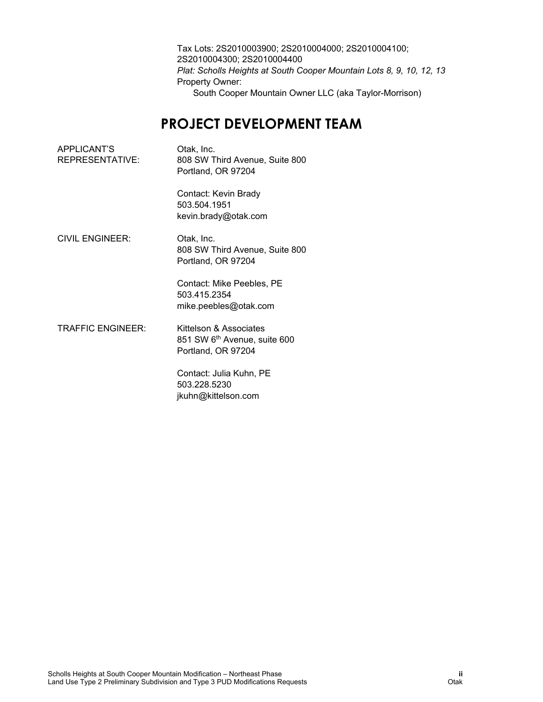Tax Lots: 2S2010003900; 2S2010004000; 2S2010004100; 2S2010004300; 2S2010004400 *Plat: Scholls Heights at South Cooper Mountain Lots 8, 9, 10, 12, 13* Property Owner: South Cooper Mountain Owner LLC (aka Taylor-Morrison)

## **PROJECT DEVELOPMENT TEAM**

| APPLICANT'S<br><b>REPRESENTATIVE:</b> | Otak, Inc.<br>808 SW Third Avenue, Suite 800<br>Portland, OR 97204                       |  |
|---------------------------------------|------------------------------------------------------------------------------------------|--|
|                                       | Contact: Kevin Brady<br>503.504.1951<br>kevin.brady@otak.com                             |  |
| CIVIL ENGINEER:                       | Otak, Inc.<br>808 SW Third Avenue, Suite 800<br>Portland, OR 97204                       |  |
|                                       | Contact: Mike Peebles, PE<br>503.415.2354<br>mike.peebles@otak.com                       |  |
| <b>TRAFFIC ENGINEER:</b>              | Kittelson & Associates<br>851 SW 6 <sup>th</sup> Avenue, suite 600<br>Portland, OR 97204 |  |

Contact: Julia Kuhn, PE 503.228.5230 jkuhn@kittelson.com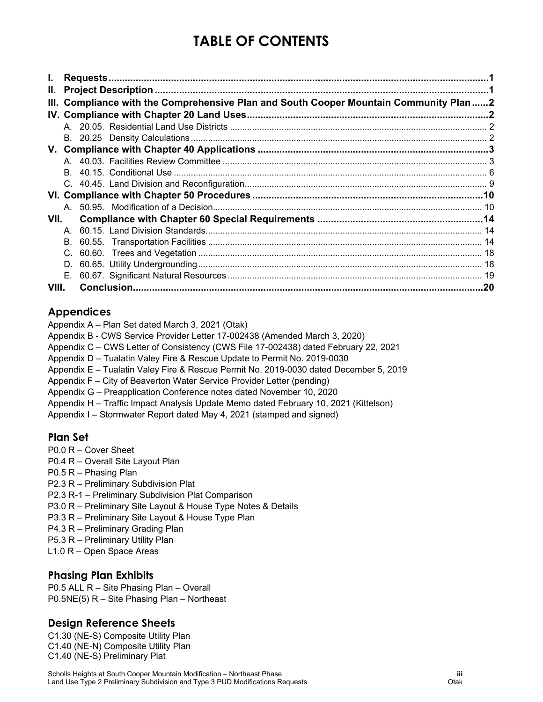## **TABLE OF CONTENTS**

| I.,   |                                                                                       |  |     |  |
|-------|---------------------------------------------------------------------------------------|--|-----|--|
| II.   |                                                                                       |  |     |  |
|       | III. Compliance with the Comprehensive Plan and South Cooper Mountain Community Plan2 |  |     |  |
|       |                                                                                       |  |     |  |
|       |                                                                                       |  |     |  |
|       |                                                                                       |  |     |  |
|       |                                                                                       |  |     |  |
|       |                                                                                       |  |     |  |
|       |                                                                                       |  |     |  |
|       |                                                                                       |  |     |  |
|       |                                                                                       |  |     |  |
|       |                                                                                       |  |     |  |
| VII.  |                                                                                       |  |     |  |
|       | A                                                                                     |  |     |  |
|       | В.                                                                                    |  |     |  |
|       | C.                                                                                    |  |     |  |
|       | D.                                                                                    |  |     |  |
|       |                                                                                       |  |     |  |
| VIII. |                                                                                       |  | .20 |  |

## **Appendices**

- Appendix A Plan Set dated March 3, 2021 (Otak)
- Appendix B CWS Service Provider Letter 17-002438 (Amended March 3, 2020)
- Appendix C CWS Letter of Consistency (CWS File 17-002438) dated February 22, 2021
- Appendix D Tualatin Valey Fire & Rescue Update to Permit No. 2019-0030
- Appendix E Tualatin Valey Fire & Rescue Permit No. 2019-0030 dated December 5, 2019
- Appendix F City of Beaverton Water Service Provider Letter (pending)
- Appendix G Preapplication Conference notes dated November 10, 2020
- Appendix H Traffic Impact Analysis Update Memo dated February 10, 2021 (Kittelson)
- Appendix I Stormwater Report dated May 4, 2021 (stamped and signed)

## **Plan Set**

- P0.0 R Cover Sheet
- P0.4 R Overall Site Layout Plan
- P0.5 R Phasing Plan
- P2.3 R Preliminary Subdivision Plat
- P2.3 R-1 Preliminary Subdivision Plat Comparison
- P3.0 R Preliminary Site Layout & House Type Notes & Details
- P3.3 R Preliminary Site Layout & House Type Plan
- P4.3 R Preliminary Grading Plan
- P5.3 R Preliminary Utility Plan
- L1.0 R Open Space Areas

## **Phasing Plan Exhibits**

P0.5 ALL R – Site Phasing Plan – Overall P0.5NE(5) R – Site Phasing Plan – Northeast

## **Design Reference Sheets**

C1.30 (NE-S) Composite Utility Plan C1.40 (NE-N) Composite Utility Plan C1.40 (NE-S) Preliminary Plat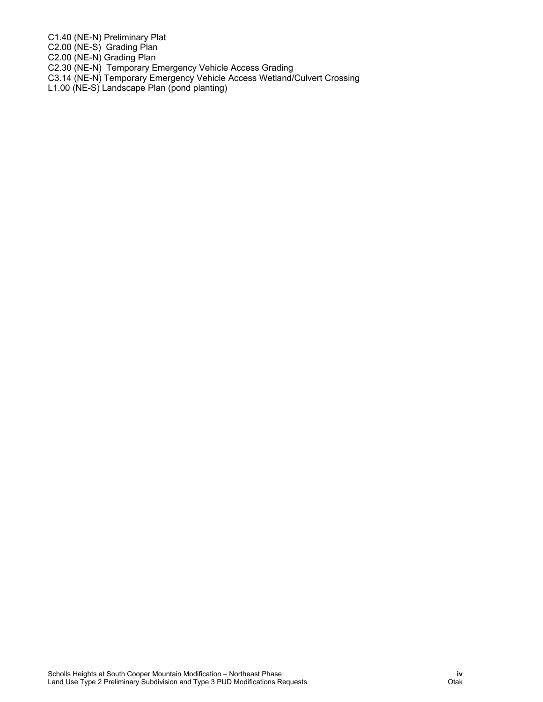C1.40 (NE-N) Preliminary Plat

C2.00 (NE-S) Grading Plan

C2.00 (NE-N) Grading Plan

C2.30 (NE-N) Temporary Emergency Vehicle Access Grading

C3.14 (NE-N) Temporary Emergency Vehicle Access Wetland/Culvert Crossing

L1.00 (NE-S) Landscape Plan (pond planting)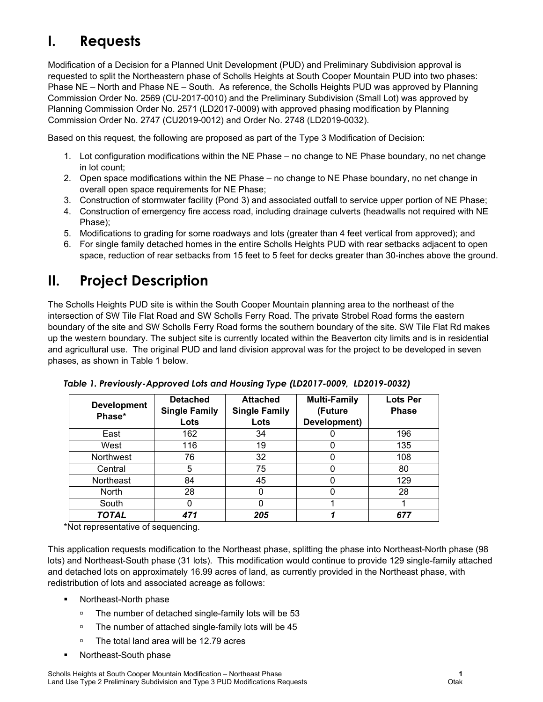## **I. Requests**

Modification of a Decision for a Planned Unit Development (PUD) and Preliminary Subdivision approval is requested to split the Northeastern phase of Scholls Heights at South Cooper Mountain PUD into two phases: Phase NE – North and Phase NE – South. As reference, the Scholls Heights PUD was approved by Planning Commission Order No. 2569 (CU-2017-0010) and the Preliminary Subdivision (Small Lot) was approved by Planning Commission Order No. 2571 (LD2017-0009) with approved phasing modification by Planning Commission Order No. 2747 (CU2019-0012) and Order No. 2748 (LD2019-0032).

Based on this request, the following are proposed as part of the Type 3 Modification of Decision:

- 1. Lot configuration modifications within the NE Phase no change to NE Phase boundary, no net change in lot count;
- 2. Open space modifications within the NE Phase no change to NE Phase boundary, no net change in overall open space requirements for NE Phase;
- 3. Construction of stormwater facility (Pond 3) and associated outfall to service upper portion of NE Phase;
- 4. Construction of emergency fire access road, including drainage culverts (headwalls not required with NE Phase);
- 5. Modifications to grading for some roadways and lots (greater than 4 feet vertical from approved); and
- 6. For single family detached homes in the entire Scholls Heights PUD with rear setbacks adjacent to open space, reduction of rear setbacks from 15 feet to 5 feet for decks greater than 30-inches above the ground.

## **II. Project Description**

The Scholls Heights PUD site is within the South Cooper Mountain planning area to the northeast of the intersection of SW Tile Flat Road and SW Scholls Ferry Road. The private Strobel Road forms the eastern boundary of the site and SW Scholls Ferry Road forms the southern boundary of the site. SW Tile Flat Rd makes up the western boundary. The subject site is currently located within the Beaverton city limits and is in residential and agricultural use. The original PUD and land division approval was for the project to be developed in seven phases, as shown in Table 1 below.

| <b>Development</b><br>Phase* | <b>Detached</b><br><b>Single Family</b><br>Lots | <b>Attached</b><br><b>Single Family</b><br>Lots | <b>Multi-Family</b><br>(Future<br>Development) | <b>Lots Per</b><br><b>Phase</b> |
|------------------------------|-------------------------------------------------|-------------------------------------------------|------------------------------------------------|---------------------------------|
| East                         | 162                                             | 34                                              |                                                | 196                             |
| West                         | 116                                             | 19                                              |                                                | 135                             |
| <b>Northwest</b>             | 76                                              | 32                                              |                                                | 108                             |
| Central                      | 5                                               | 75                                              |                                                | 80                              |
| <b>Northeast</b>             | 84                                              | 45                                              |                                                | 129                             |
| <b>North</b>                 | 28                                              | 0                                               |                                                | 28                              |
| South                        | 0                                               | 0                                               |                                                |                                 |
| TOTAL                        | 471                                             | 205                                             |                                                | 677                             |

*Table 1. Previously-Approved Lots and Housing Type (LD2017-0009, LD2019-0032)*

\*Not representative of sequencing.

This application requests modification to the Northeast phase, splitting the phase into Northeast-North phase (98 lots) and Northeast-South phase (31 lots). This modification would continue to provide 129 single-family attached and detached lots on approximately 16.99 acres of land, as currently provided in the Northeast phase, with redistribution of lots and associated acreage as follows:

- **Northeast-North phase** 
	- □ The number of detached single-family lots will be 53
	- □ The number of attached single-family lots will be 45
	- □ The total land area will be 12.79 acres
- Northeast-South phase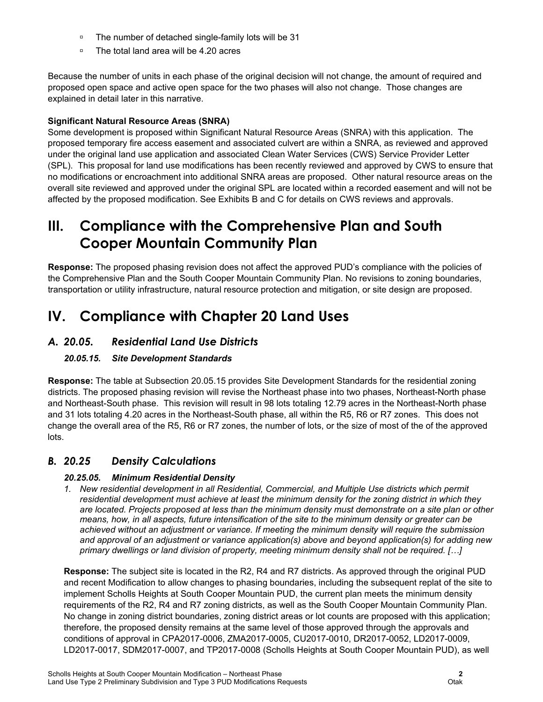- □ The number of detached single-family lots will be 31
- □ The total land area will be 4.20 acres

Because the number of units in each phase of the original decision will not change, the amount of required and proposed open space and active open space for the two phases will also not change. Those changes are explained in detail later in this narrative.

### **Significant Natural Resource Areas (SNRA)**

Some development is proposed within Significant Natural Resource Areas (SNRA) with this application. The proposed temporary fire access easement and associated culvert are within a SNRA, as reviewed and approved under the original land use application and associated Clean Water Services (CWS) Service Provider Letter (SPL). This proposal for land use modifications has been recently reviewed and approved by CWS to ensure that no modifications or encroachment into additional SNRA areas are proposed. Other natural resource areas on the overall site reviewed and approved under the original SPL are located within a recorded easement and will not be affected by the proposed modification. See Exhibits B and C for details on CWS reviews and approvals.

## **III. Compliance with the Comprehensive Plan and South Cooper Mountain Community Plan**

**Response:** The proposed phasing revision does not affect the approved PUD's compliance with the policies of the Comprehensive Plan and the South Cooper Mountain Community Plan. No revisions to zoning boundaries, transportation or utility infrastructure, natural resource protection and mitigation, or site design are proposed.

## **IV. Compliance with Chapter 20 Land Uses**

## *A. 20.05. Residential Land Use Districts*

## *20.05.15. Site Development Standards*

**Response:** The table at Subsection 20.05.15 provides Site Development Standards for the residential zoning districts. The proposed phasing revision will revise the Northeast phase into two phases, Northeast-North phase and Northeast-South phase. This revision will result in 98 lots totaling 12.79 acres in the Northeast-North phase and 31 lots totaling 4.20 acres in the Northeast-South phase, all within the R5, R6 or R7 zones. This does not change the overall area of the R5, R6 or R7 zones, the number of lots, or the size of most of the of the approved lots.

## *B. 20.25 Density Calculations*

### *20.25.05. Minimum Residential Density*

*1. New residential development in all Residential, Commercial, and Multiple Use districts which permit residential development must achieve at least the minimum density for the zoning district in which they are located. Projects proposed at less than the minimum density must demonstrate on a site plan or other means, how, in all aspects, future intensification of the site to the minimum density or greater can be achieved without an adjustment or variance. If meeting the minimum density will require the submission and approval of an adjustment or variance application(s) above and beyond application(s) for adding new primary dwellings or land division of property, meeting minimum density shall not be required. […]*

**Response:** The subject site is located in the R2, R4 and R7 districts. As approved through the original PUD and recent Modification to allow changes to phasing boundaries, including the subsequent replat of the site to implement Scholls Heights at South Cooper Mountain PUD, the current plan meets the minimum density requirements of the R2, R4 and R7 zoning districts, as well as the South Cooper Mountain Community Plan. No change in zoning district boundaries, zoning district areas or lot counts are proposed with this application; therefore, the proposed density remains at the same level of those approved through the approvals and conditions of approval in CPA2017-0006, ZMA2017-0005, CU2017-0010, DR2017-0052, LD2017-0009, LD2017-0017, SDM2017-0007, and TP2017-0008 (Scholls Heights at South Cooper Mountain PUD), as well

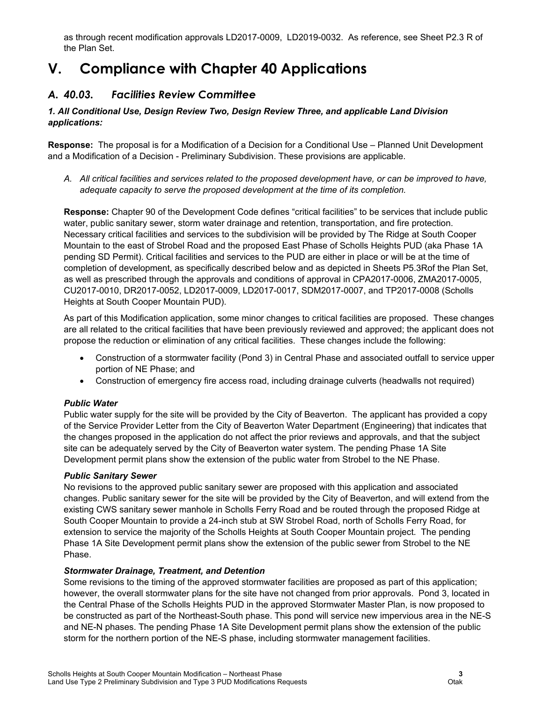as through recent modification approvals LD2017-0009, LD2019-0032. As reference, see Sheet P2.3 R of the Plan Set.

## **V. Compliance with Chapter 40 Applications**

## *A. 40.03. Facilities Review Committee*

#### *1. All Conditional Use, Design Review Two, Design Review Three, and applicable Land Division applications:*

**Response:** The proposal is for a Modification of a Decision for a Conditional Use – Planned Unit Development and a Modification of a Decision - Preliminary Subdivision. These provisions are applicable.

*A. All critical facilities and services related to the proposed development have, or can be improved to have, adequate capacity to serve the proposed development at the time of its completion.*

**Response:** Chapter 90 of the Development Code defines "critical facilities" to be services that include public water, public sanitary sewer, storm water drainage and retention, transportation, and fire protection. Necessary critical facilities and services to the subdivision will be provided by The Ridge at South Cooper Mountain to the east of Strobel Road and the proposed East Phase of Scholls Heights PUD (aka Phase 1A pending SD Permit). Critical facilities and services to the PUD are either in place or will be at the time of completion of development, as specifically described below and as depicted in Sheets P5.3Rof the Plan Set, as well as prescribed through the approvals and conditions of approval in CPA2017-0006, ZMA2017-0005, CU2017-0010, DR2017-0052, LD2017-0009, LD2017-0017, SDM2017-0007, and TP2017-0008 (Scholls Heights at South Cooper Mountain PUD).

As part of this Modification application, some minor changes to critical facilities are proposed. These changes are all related to the critical facilities that have been previously reviewed and approved; the applicant does not propose the reduction or elimination of any critical facilities. These changes include the following:

- Construction of a stormwater facility (Pond 3) in Central Phase and associated outfall to service upper portion of NE Phase; and
- Construction of emergency fire access road, including drainage culverts (headwalls not required)

#### *Public Water*

Public water supply for the site will be provided by the City of Beaverton. The applicant has provided a copy of the Service Provider Letter from the City of Beaverton Water Department (Engineering) that indicates that the changes proposed in the application do not affect the prior reviews and approvals, and that the subject site can be adequately served by the City of Beaverton water system. The pending Phase 1A Site Development permit plans show the extension of the public water from Strobel to the NE Phase.

#### *Public Sanitary Sewer*

No revisions to the approved public sanitary sewer are proposed with this application and associated changes. Public sanitary sewer for the site will be provided by the City of Beaverton, and will extend from the existing CWS sanitary sewer manhole in Scholls Ferry Road and be routed through the proposed Ridge at South Cooper Mountain to provide a 24-inch stub at SW Strobel Road, north of Scholls Ferry Road, for extension to service the majority of the Scholls Heights at South Cooper Mountain project. The pending Phase 1A Site Development permit plans show the extension of the public sewer from Strobel to the NE Phase.

#### *Stormwater Drainage, Treatment, and Detention*

Some revisions to the timing of the approved stormwater facilities are proposed as part of this application; however, the overall stormwater plans for the site have not changed from prior approvals. Pond 3, located in the Central Phase of the Scholls Heights PUD in the approved Stormwater Master Plan, is now proposed to be constructed as part of the Northeast-South phase. This pond will service new impervious area in the NE-S and NE-N phases. The pending Phase 1A Site Development permit plans show the extension of the public storm for the northern portion of the NE-S phase, including stormwater management facilities.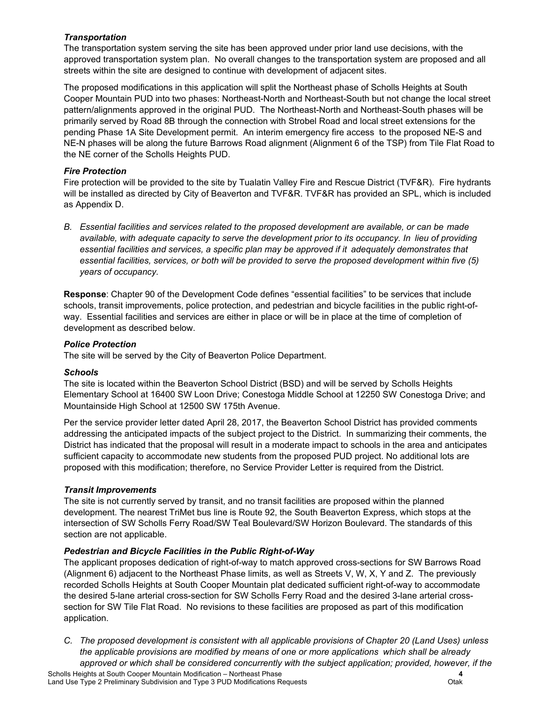#### *Transportation*

The transportation system serving the site has been approved under prior land use decisions, with the approved transportation system plan. No overall changes to the transportation system are proposed and all streets within the site are designed to continue with development of adjacent sites.

The proposed modifications in this application will split the Northeast phase of Scholls Heights at South Cooper Mountain PUD into two phases: Northeast-North and Northeast-South but not change the local street pattern/alignments approved in the original PUD. The Northeast-North and Northeast-South phases will be primarily served by Road 8B through the connection with Strobel Road and local street extensions for the pending Phase 1A Site Development permit. An interim emergency fire access to the proposed NE-S and NE-N phases will be along the future Barrows Road alignment (Alignment 6 of the TSP) from Tile Flat Road to the NE corner of the Scholls Heights PUD.

### *Fire Protection*

Fire protection will be provided to the site by Tualatin Valley Fire and Rescue District (TVF&R). Fire hydrants will be installed as directed by City of Beaverton and TVF&R. TVF&R has provided an SPL, which is included as Appendix D.

*B. Essential facilities and services related to the proposed development are available, or can be made available, with adequate capacity to serve the development prior to its occupancy. In lieu of providing*  essential facilities and services, a specific plan may be approved if it adequately demonstrates that *essential facilities, services, or both will be provided to serve the proposed development within five (5) years of occupancy.*

**Response**: Chapter 90 of the Development Code defines "essential facilities" to be services that include schools, transit improvements, police protection, and pedestrian and bicycle facilities in the public right-ofway. Essential facilities and services are either in place or will be in place at the time of completion of development as described below.

#### *Police Protection*

The site will be served by the City of Beaverton Police Department.

#### *Schools*

The site is located within the Beaverton School District (BSD) and will be served by Scholls Heights Elementary School at 16400 SW Loon Drive; Conestoga Middle School at 12250 SW Conestoga Drive; and Mountainside High School at 12500 SW 175th Avenue.

Per the service provider letter dated April 28, 2017, the Beaverton School District has provided comments addressing the anticipated impacts of the subject project to the District. In summarizing their comments, the District has indicated that the proposal will result in a moderate impact to schools in the area and anticipates sufficient capacity to accommodate new students from the proposed PUD project. No additional lots are proposed with this modification; therefore, no Service Provider Letter is required from the District.

#### *Transit Improvements*

The site is not currently served by transit, and no transit facilities are proposed within the planned development. The nearest TriMet bus line is Route 92, the South Beaverton Express, which stops at the intersection of SW Scholls Ferry Road/SW Teal Boulevard/SW Horizon Boulevard. The standards of this section are not applicable.

#### *Pedestrian and Bicycle Facilities in the Public Right-of-Way*

The applicant proposes dedication of right-of-way to match approved cross-sections for SW Barrows Road (Alignment 6) adjacent to the Northeast Phase limits, as well as Streets V, W, X, Y and Z. The previously recorded Scholls Heights at South Cooper Mountain plat dedicated sufficient right-of-way to accommodate the desired 5-lane arterial cross-section for SW Scholls Ferry Road and the desired 3-lane arterial crosssection for SW Tile Flat Road. No revisions to these facilities are proposed as part of this modification application.

*C. The proposed development is consistent with all applicable provisions of Chapter 20 (Land Uses) unless the applicable provisions are modified by means of one or more applications which shall be already approved or which shall be considered concurrently with the subject application; provided, however, if the*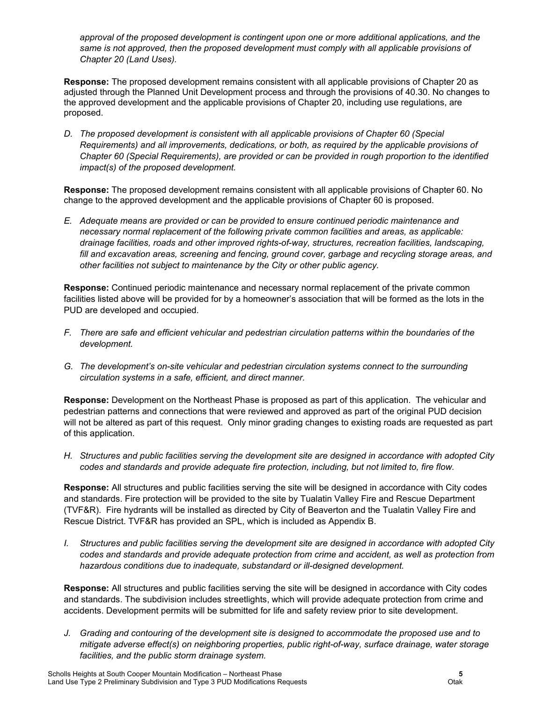*approval of the proposed development is contingent upon one or more additional applications, and the same is not approved, then the proposed development must comply with all applicable provisions of Chapter 20 (Land Uses).*

**Response:** The proposed development remains consistent with all applicable provisions of Chapter 20 as adjusted through the Planned Unit Development process and through the provisions of 40.30. No changes to the approved development and the applicable provisions of Chapter 20, including use regulations, are proposed.

*D. The proposed development is consistent with all applicable provisions of Chapter 60 (Special Requirements) and all improvements, dedications, or both, as required by the applicable provisions of Chapter 60 (Special Requirements), are provided or can be provided in rough proportion to the identified impact(s) of the proposed development.*

**Response:** The proposed development remains consistent with all applicable provisions of Chapter 60. No change to the approved development and the applicable provisions of Chapter 60 is proposed.

*E. Adequate means are provided or can be provided to ensure continued periodic maintenance and necessary normal replacement of the following private common facilities and areas, as applicable: drainage facilities, roads and other improved rights-of-way, structures, recreation facilities, landscaping, fill and excavation areas, screening and fencing, ground cover, garbage and recycling storage areas, and other facilities not subject to maintenance by the City or other public agency.*

**Response:** Continued periodic maintenance and necessary normal replacement of the private common facilities listed above will be provided for by a homeowner's association that will be formed as the lots in the PUD are developed and occupied.

- *F. There are safe and efficient vehicular and pedestrian circulation patterns within the boundaries of the development.*
- *G. The development's on-site vehicular and pedestrian circulation systems connect to the surrounding circulation systems in a safe, efficient, and direct manner.*

**Response:** Development on the Northeast Phase is proposed as part of this application. The vehicular and pedestrian patterns and connections that were reviewed and approved as part of the original PUD decision will not be altered as part of this request. Only minor grading changes to existing roads are requested as part of this application.

*H. Structures and public facilities serving the development site are designed in accordance with adopted City codes and standards and provide adequate fire protection, including, but not limited to, fire flow.* 

**Response:** All structures and public facilities serving the site will be designed in accordance with City codes and standards. Fire protection will be provided to the site by Tualatin Valley Fire and Rescue Department (TVF&R). Fire hydrants will be installed as directed by City of Beaverton and the Tualatin Valley Fire and Rescue District. TVF&R has provided an SPL, which is included as Appendix B.

*I. Structures and public facilities serving the development site are designed in accordance with adopted City codes and standards and provide adequate protection from crime and accident, as well as protection from hazardous conditions due to inadequate, substandard or ill-designed development.* 

**Response:** All structures and public facilities serving the site will be designed in accordance with City codes and standards. The subdivision includes streetlights, which will provide adequate protection from crime and accidents. Development permits will be submitted for life and safety review prior to site development.

*J. Grading and contouring of the development site is designed to accommodate the proposed use and to mitigate adverse effect(s) on neighboring properties, public right-of-way, surface drainage, water storage facilities, and the public storm drainage system.*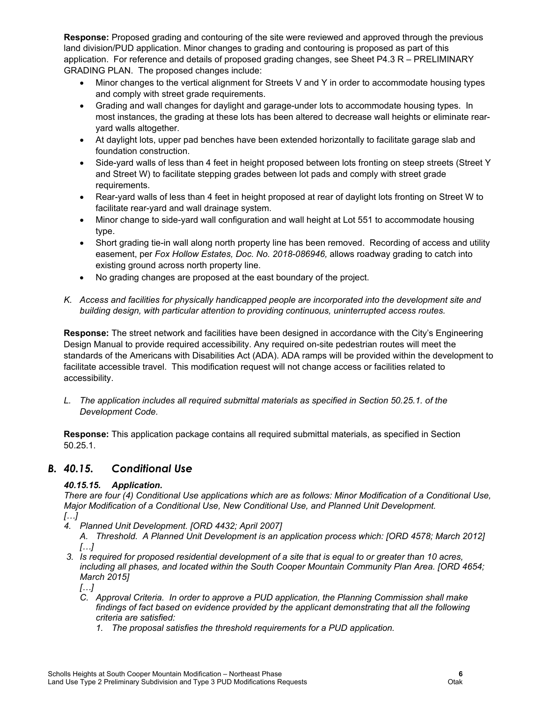**Response:** Proposed grading and contouring of the site were reviewed and approved through the previous land division/PUD application. Minor changes to grading and contouring is proposed as part of this application. For reference and details of proposed grading changes, see Sheet P4.3 R – PRELIMINARY GRADING PLAN. The proposed changes include:

- Minor changes to the vertical alignment for Streets V and Y in order to accommodate housing types and comply with street grade requirements.
- Grading and wall changes for daylight and garage-under lots to accommodate housing types. In most instances, the grading at these lots has been altered to decrease wall heights or eliminate rearyard walls altogether.
- At daylight lots, upper pad benches have been extended horizontally to facilitate garage slab and foundation construction.
- Side-yard walls of less than 4 feet in height proposed between lots fronting on steep streets (Street Y and Street W) to facilitate stepping grades between lot pads and comply with street grade requirements.
- Rear-yard walls of less than 4 feet in height proposed at rear of daylight lots fronting on Street W to facilitate rear-yard and wall drainage system.
- Minor change to side-yard wall configuration and wall height at Lot 551 to accommodate housing type.
- Short grading tie-in wall along north property line has been removed. Recording of access and utility easement, per *Fox Hollow Estates, Doc. No. 2018-086946,* allows roadway grading to catch into existing ground across north property line.
- No grading changes are proposed at the east boundary of the project.
- *K. Access and facilities for physically handicapped people are incorporated into the development site and building design, with particular attention to providing continuous, uninterrupted access routes.*

**Response:** The street network and facilities have been designed in accordance with the City's Engineering Design Manual to provide required accessibility. Any required on-site pedestrian routes will meet the standards of the Americans with Disabilities Act (ADA). ADA ramps will be provided within the development to facilitate accessible travel. This modification request will not change access or facilities related to accessibility.

*L. The application includes all required submittal materials as specified in Section 50.25.1. of the Development Code.*

**Response:** This application package contains all required submittal materials, as specified in Section 50.25.1.

## *B. 40.15. Conditional Use*

### *40.15.15. Application.*

*There are four (4) Conditional Use applications which are as follows: Minor Modification of a Conditional Use, Major Modification of a Conditional Use, New Conditional Use, and Planned Unit Development.*

- *[…]*
- *4. Planned Unit Development. [ORD 4432; April 2007]* 
	- *A. Threshold. A Planned Unit Development is an application process which: [ORD 4578; March 2012] […]*
- *3. Is required for proposed residential development of a site that is equal to or greater than 10 acres, including all phases, and located within the South Cooper Mountain Community Plan Area. [ORD 4654; March 2015]* 
	- *[…]*
	- *C. Approval Criteria. In order to approve a PUD application, the Planning Commission shall make*  findings of fact based on evidence provided by the applicant demonstrating that all the following *criteria are satisfied:* 
		- *1. The proposal satisfies the threshold requirements for a PUD application.*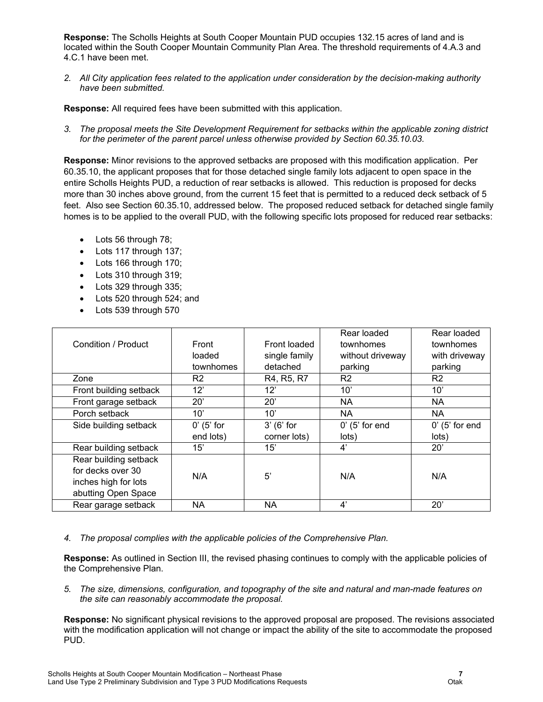**Response:** The Scholls Heights at South Cooper Mountain PUD occupies 132.15 acres of land and is located within the South Cooper Mountain Community Plan Area. The threshold requirements of 4.A.3 and 4.C.1 have been met.

*2. All City application fees related to the application under consideration by the decision-making authority have been submitted.* 

**Response:** All required fees have been submitted with this application.

*3. The proposal meets the Site Development Requirement for setbacks within the applicable zoning district*  for the perimeter of the parent parcel unless otherwise provided by Section 60.35.10.03.

**Response:** Minor revisions to the approved setbacks are proposed with this modification application. Per 60.35.10, the applicant proposes that for those detached single family lots adjacent to open space in the entire Scholls Heights PUD, a reduction of rear setbacks is allowed. This reduction is proposed for decks more than 30 inches above ground, from the current 15 feet that is permitted to a reduced deck setback of 5 feet. Also see Section 60.35.10, addressed below. The proposed reduced setback for detached single family homes is to be applied to the overall PUD, with the following specific lots proposed for reduced rear setbacks:

- Lots 56 through 78;
- Lots 117 through 137;
- Lots 166 through 170;
- Lots 310 through 319;
- Lots 329 through 335;
- Lots 520 through 524; and
- Lots 539 through 570

|                        |                |               | Rear loaded      | Rear loaded      |  |
|------------------------|----------------|---------------|------------------|------------------|--|
|                        |                |               |                  |                  |  |
| Condition / Product    | Front          | Front loaded  | townhomes        | townhomes        |  |
|                        | loaded         | single family | without driveway | with driveway    |  |
|                        | townhomes      | detached      | parking          | parking          |  |
| Zone                   | R <sub>2</sub> | R4, R5, R7    | R <sub>2</sub>   | R <sub>2</sub>   |  |
| Front building setback | 12'            | 12'           | 10'              | 10'              |  |
| Front garage setback   | 20'            | 20'           | <b>NA</b>        | <b>NA</b>        |  |
| Porch setback          | 10'            | 10'           | <b>NA</b>        | <b>NA</b>        |  |
| Side building setback  | $0'$ (5' for   | $3'$ (6' for  | $0'$ (5' for end | $0'$ (5' for end |  |
|                        | end lots)      | corner lots)  | lots)            | lots)            |  |
| Rear building setback  | 15'            | 15'           | 4'               | 20'              |  |
| Rear building setback  |                |               |                  |                  |  |
| for decks over 30      |                |               |                  |                  |  |
| inches high for lots   | N/A            | 5'            | N/A              | N/A              |  |
| abutting Open Space    |                |               |                  |                  |  |
| Rear garage setback    | ΝA             | <b>NA</b>     | 4'               | 20'              |  |

*4. The proposal complies with the applicable policies of the Comprehensive Plan.* 

**Response:** As outlined in Section III, the revised phasing continues to comply with the applicable policies of the Comprehensive Plan.

*5. The size, dimensions, configuration, and topography of the site and natural and man-made features on the site can reasonably accommodate the proposal.* 

**Response:** No significant physical revisions to the approved proposal are proposed. The revisions associated with the modification application will not change or impact the ability of the site to accommodate the proposed PUD.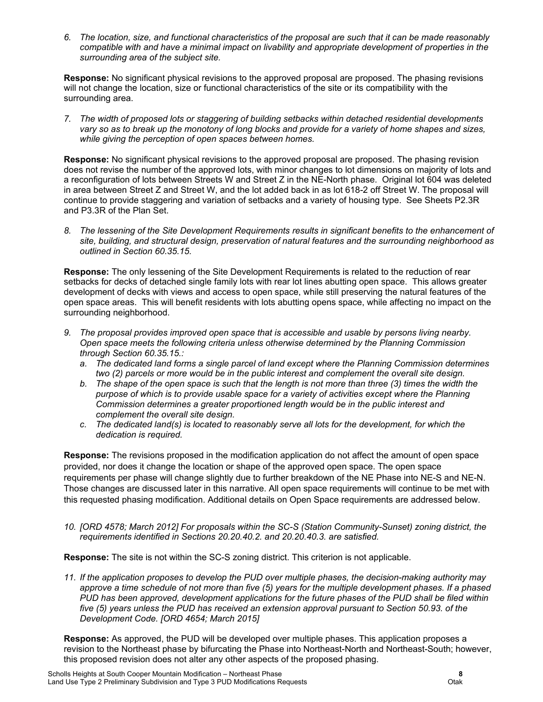*6. The location, size, and functional characteristics of the proposal are such that it can be made reasonably compatible with and have a minimal impact on livability and appropriate development of properties in the surrounding area of the subject site.* 

**Response:** No significant physical revisions to the approved proposal are proposed. The phasing revisions will not change the location, size or functional characteristics of the site or its compatibility with the surrounding area.

*7. The width of proposed lots or staggering of building setbacks within detached residential developments vary so as to break up the monotony of long blocks and provide for a variety of home shapes and sizes, while giving the perception of open spaces between homes.*

**Response:** No significant physical revisions to the approved proposal are proposed. The phasing revision does not revise the number of the approved lots, with minor changes to lot dimensions on majority of lots and a reconfiguration of lots between Streets W and Street Z in the NE-North phase. Original lot 604 was deleted in area between Street Z and Street W, and the lot added back in as lot 618-2 off Street W. The proposal will continue to provide staggering and variation of setbacks and a variety of housing type. See Sheets P2.3R and P3.3R of the Plan Set.

*8. The lessening of the Site Development Requirements results in significant benefits to the enhancement of site, building, and structural design, preservation of natural features and the surrounding neighborhood as outlined in Section 60.35.15.* 

**Response:** The only lessening of the Site Development Requirements is related to the reduction of rear setbacks for decks of detached single family lots with rear lot lines abutting open space. This allows greater development of decks with views and access to open space, while still preserving the natural features of the open space areas. This will benefit residents with lots abutting opens space, while affecting no impact on the surrounding neighborhood.

- *9. The proposal provides improved open space that is accessible and usable by persons living nearby. Open space meets the following criteria unless otherwise determined by the Planning Commission through Section 60.35.15.:* 
	- *a. The dedicated land forms a single parcel of land except where the Planning Commission determines two (2) parcels or more would be in the public interest and complement the overall site design.*
	- *b. The shape of the open space is such that the length is not more than three (3) times the width the purpose of which is to provide usable space for a variety of activities except where the Planning Commission determines a greater proportioned length would be in the public interest and complement the overall site design.*
	- *c. The dedicated land(s) is located to reasonably serve all lots for the development, for which the dedication is required.*

**Response:** The revisions proposed in the modification application do not affect the amount of open space provided, nor does it change the location or shape of the approved open space. The open space requirements per phase will change slightly due to further breakdown of the NE Phase into NE-S and NE-N. Those changes are discussed later in this narrative. All open space requirements will continue to be met with this requested phasing modification. Additional details on Open Space requirements are addressed below.

*10. [ORD 4578; March 2012] For proposals within the SC-S (Station Community-Sunset) zoning district, the requirements identified in Sections 20.20.40.2. and 20.20.40.3. are satisfied.* 

**Response:** The site is not within the SC-S zoning district. This criterion is not applicable.

*11. If the application proposes to develop the PUD over multiple phases, the decision-making authority may approve a time schedule of not more than five (5) years for the multiple development phases. If a phased PUD has been approved, development applications for the future phases of the PUD shall be filed within five (5) years unless the PUD has received an extension approval pursuant to Section 50.93. of the Development Code. [ORD 4654; March 2015]*

**Response:** As approved, the PUD will be developed over multiple phases. This application proposes a revision to the Northeast phase by bifurcating the Phase into Northeast-North and Northeast-South; however, this proposed revision does not alter any other aspects of the proposed phasing.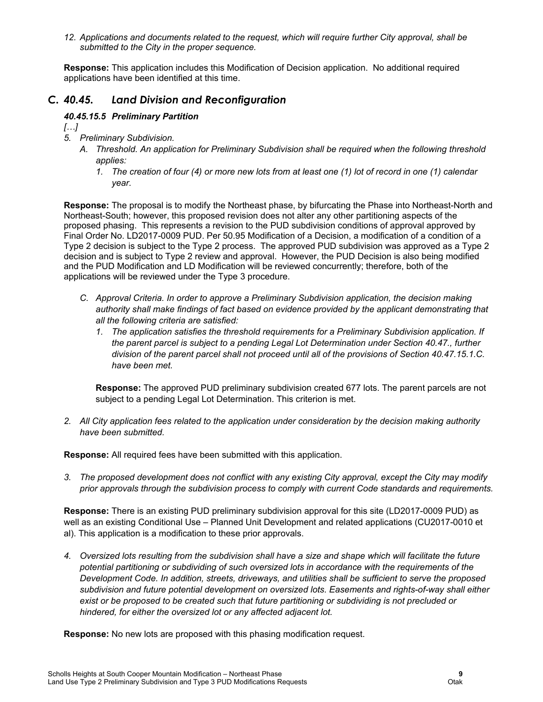*12. Applications and documents related to the request, which will require further City approval, shall be submitted to the City in the proper sequence.* 

**Response:** This application includes this Modification of Decision application. No additional required applications have been identified at this time.

## *C. 40.45. Land Division and Reconfiguration*

### *40.45.15.5 Preliminary Partition*

*[…]*

- *5. Preliminary Subdivision.* 
	- *A. Threshold. An application for Preliminary Subdivision shall be required when the following threshold applies:*
		- *1. The creation of four (4) or more new lots from at least one (1) lot of record in one (1) calendar year.*

**Response:** The proposal is to modify the Northeast phase, by bifurcating the Phase into Northeast-North and Northeast-South; however, this proposed revision does not alter any other partitioning aspects of the proposed phasing. This represents a revision to the PUD subdivision conditions of approval approved by Final Order No. LD2017-0009 PUD. Per 50.95 Modification of a Decision, a modification of a condition of a Type 2 decision is subject to the Type 2 process. The approved PUD subdivision was approved as a Type 2 decision and is subject to Type 2 review and approval. However, the PUD Decision is also being modified and the PUD Modification and LD Modification will be reviewed concurrently; therefore, both of the applications will be reviewed under the Type 3 procedure.

- *C. Approval Criteria. In order to approve a Preliminary Subdivision application, the decision making authority shall make findings of fact based on evidence provided by the applicant demonstrating that all the following criteria are satisfied:*
	- *1. The application satisfies the threshold requirements for a Preliminary Subdivision application. If the parent parcel is subject to a pending Legal Lot Determination under Section 40.47., further division of the parent parcel shall not proceed until all of the provisions of Section 40.47.15.1.C. have been met.*

**Response:** The approved PUD preliminary subdivision created 677 lots. The parent parcels are not subject to a pending Legal Lot Determination. This criterion is met.

*2. All City application fees related to the application under consideration by the decision making authority have been submitted.*

**Response:** All required fees have been submitted with this application.

*3. The proposed development does not conflict with any existing City approval, except the City may modify prior approvals through the subdivision process to comply with current Code standards and requirements.*

**Response:** There is an existing PUD preliminary subdivision approval for this site (LD2017-0009 PUD) as well as an existing Conditional Use – Planned Unit Development and related applications (CU2017-0010 et al). This application is a modification to these prior approvals.

*4. Oversized lots resulting from the subdivision shall have a size and shape which will facilitate the future potential partitioning or subdividing of such oversized lots in accordance with the requirements of the Development Code. In addition, streets, driveways, and utilities shall be sufficient to serve the proposed subdivision and future potential development on oversized lots. Easements and rights-of-way shall either exist or be proposed to be created such that future partitioning or subdividing is not precluded or hindered, for either the oversized lot or any affected adjacent lot.* 

**Response:** No new lots are proposed with this phasing modification request.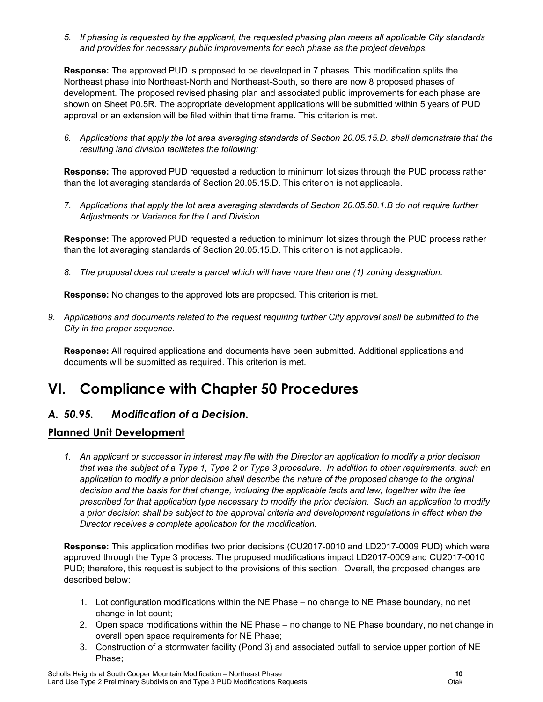*5. If phasing is requested by the applicant, the requested phasing plan meets all applicable City standards and provides for necessary public improvements for each phase as the project develops.*

**Response:** The approved PUD is proposed to be developed in 7 phases. This modification splits the Northeast phase into Northeast-North and Northeast-South, so there are now 8 proposed phases of development. The proposed revised phasing plan and associated public improvements for each phase are shown on Sheet P0.5R. The appropriate development applications will be submitted within 5 years of PUD approval or an extension will be filed within that time frame. This criterion is met.

*6. Applications that apply the lot area averaging standards of Section 20.05.15.D. shall demonstrate that the resulting land division facilitates the following:* 

**Response:** The approved PUD requested a reduction to minimum lot sizes through the PUD process rather than the lot averaging standards of Section 20.05.15.D. This criterion is not applicable.

*7. Applications that apply the lot area averaging standards of Section 20.05.50.1.B do not require further Adjustments or Variance for the Land Division.*

**Response:** The approved PUD requested a reduction to minimum lot sizes through the PUD process rather than the lot averaging standards of Section 20.05.15.D. This criterion is not applicable.

*8. The proposal does not create a parcel which will have more than one (1) zoning designation.*

**Response:** No changes to the approved lots are proposed. This criterion is met.

*9. Applications and documents related to the request requiring further City approval shall be submitted to the City in the proper sequence.*

**Response:** All required applications and documents have been submitted. Additional applications and documents will be submitted as required. This criterion is met.

## **VI. Compliance with Chapter 50 Procedures**

## *A. 50.95. Modification of a Decision.*

## **Planned Unit Development**

*1. An applicant or successor in interest may file with the Director an application to modify a prior decision that was the subject of a Type 1, Type 2 or Type 3 procedure. In addition to other requirements, such an*  application to modify a prior decision shall describe the nature of the proposed change to the original *decision and the basis for that change, including the applicable facts and law, together with the fee prescribed for that application type necessary to modify the prior decision. Such an application to modify a prior decision shall be subject to the approval criteria and development regulations in effect when the Director receives a complete application for the modification.* 

**Response:** This application modifies two prior decisions (CU2017-0010 and LD2017-0009 PUD) which were approved through the Type 3 process. The proposed modifications impact LD2017-0009 and CU2017-0010 PUD; therefore, this request is subject to the provisions of this section. Overall, the proposed changes are described below:

- 1. Lot configuration modifications within the NE Phase no change to NE Phase boundary, no net change in lot count;
- 2. Open space modifications within the NE Phase no change to NE Phase boundary, no net change in overall open space requirements for NE Phase;
- 3. Construction of a stormwater facility (Pond 3) and associated outfall to service upper portion of NE Phase;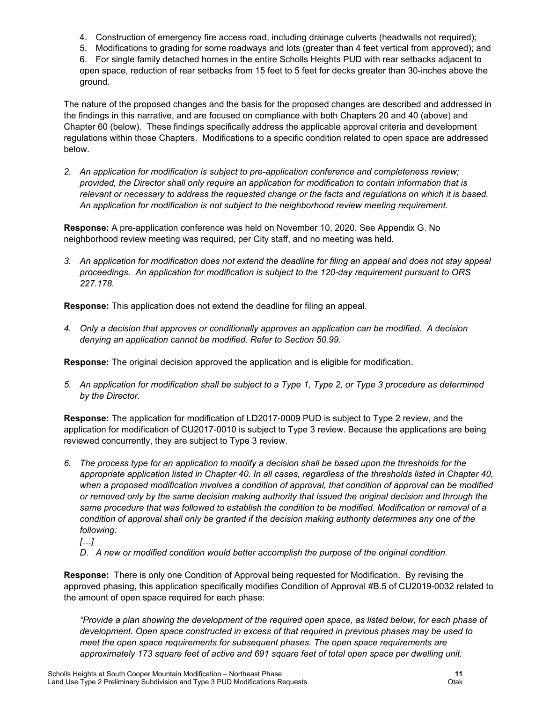- 4. Construction of emergency fire access road, including drainage culverts (headwalls not required);
- 5. Modifications to grading for some roadways and lots (greater than 4 feet vertical from approved); and

6. For single family detached homes in the entire Scholls Heights PUD with rear setbacks adjacent to open space, reduction of rear setbacks from 15 feet to 5 feet for decks greater than 30-inches above the ground.

The nature of the proposed changes and the basis for the proposed changes are described and addressed in the findings in this narrative, and are focused on compliance with both Chapters 20 and 40 (above) and Chapter 60 (below). These findings specifically address the applicable approval criteria and development regulations within those Chapters. Modifications to a specific condition related to open space are addressed below.

*2. An application for modification is subject to pre-application conference and completeness review; provided, the Director shall only require an application for modification to contain information that is relevant or necessary to address the requested change or the facts and regulations on which it is based. An application for modification is not subject to the neighborhood review meeting requirement.* 

**Response:** A pre-application conference was held on November 10, 2020. See Appendix G. No neighborhood review meeting was required, per City staff, and no meeting was held.

*3. An application for modification does not extend the deadline for filing an appeal and does not stay appeal proceedings. An application for modification is subject to the 120-day requirement pursuant to ORS 227.178.* 

**Response:** This application does not extend the deadline for filing an appeal.

*4. Only a decision that approves or conditionally approves an application can be modified. A decision denying an application cannot be modified. Refer to Section 50.99.* 

**Response:** The original decision approved the application and is eligible for modification.

*5. An application for modification shall be subject to a Type 1, Type 2, or Type 3 procedure as determined by the Director.*

**Response:** The application for modification of LD2017-0009 PUD is subject to Type 2 review, and the application for modification of CU2017-0010 is subject to Type 3 review. Because the applications are being reviewed concurrently, they are subject to Type 3 review.

*6. The process type for an application to modify a decision shall be based upon the thresholds for the appropriate application listed in Chapter 40. In all cases, regardless of the thresholds listed in Chapter 40,*  when a proposed modification involves a condition of approval, that condition of approval can be modified *or removed only by the same decision making authority that issued the original decision and through the same procedure that was followed to establish the condition to be modified. Modification or removal of a condition of approval shall only be granted if the decision making authority determines any one of the following:* 

*D. A new or modified condition would better accomplish the purpose of the original condition.*

**Response:** There is only one Condition of Approval being requested for Modification.By revising the approved phasing, this application specifically modifies Condition of Approval #B.5 of CU2019-0032 related to the amount of open space required for each phase:

*"Provide a plan showing the development of the required open space, as listed below, for each phase of development. Open space constructed in excess of that required in previous phases may be used to meet the open space requirements for subsequent phases. The open space requirements are approximately 173 square feet of active and 691 square feet of total open space per dwelling unit.*

*<sup>[…]</sup>*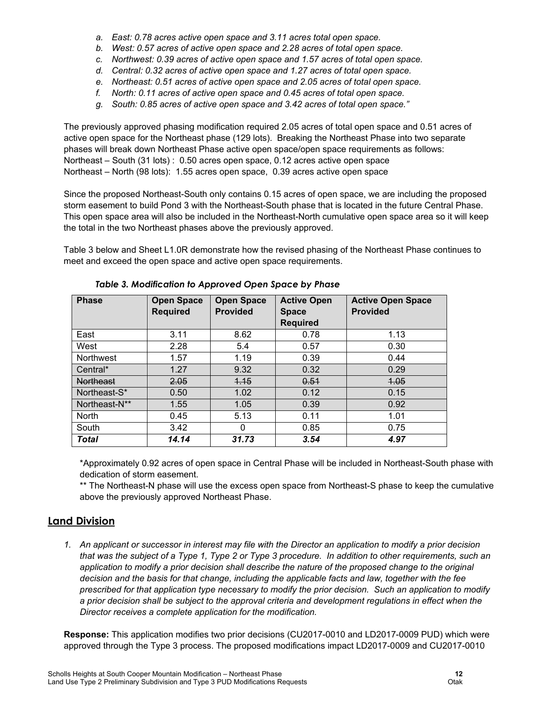- *a. East: 0.78 acres active open space and 3.11 acres total open space.*
- *b. West: 0.57 acres of active open space and 2.28 acres of total open space.*
- *c. Northwest: 0.39 acres of active open space and 1.57 acres of total open space.*
- *d. Central: 0.32 acres of active open space and 1.27 acres of total open space.*
- *e. Northeast: 0.51 acres of active open space and 2.05 acres of total open space.*
- *f. North: 0.11 acres of active open space and 0.45 acres of total open space.*
- *g. South: 0.85 acres of active open space and 3.42 acres of total open space."*

The previously approved phasing modification required 2.05 acres of total open space and 0.51 acres of active open space for the Northeast phase (129 lots). Breaking the Northeast Phase into two separate phases will break down Northeast Phase active open space/open space requirements as follows: Northeast – South (31 lots) : 0.50 acres open space, 0.12 acres active open space Northeast – North (98 lots): 1.55 acres open space, 0.39 acres active open space

Since the proposed Northeast-South only contains 0.15 acres of open space, we are including the proposed storm easement to build Pond 3 with the Northeast-South phase that is located in the future Central Phase. This open space area will also be included in the Northeast-North cumulative open space area so it will keep the total in the two Northeast phases above the previously approved.

Table 3 below and Sheet L1.0R demonstrate how the revised phasing of the Northeast Phase continues to meet and exceed the open space and active open space requirements.

| <b>Phase</b>     | <b>Open Space</b><br><b>Required</b> | <b>Open Space</b><br><b>Provided</b> | <b>Active Open</b><br><b>Space</b> | <b>Active Open Space</b><br><b>Provided</b> |
|------------------|--------------------------------------|--------------------------------------|------------------------------------|---------------------------------------------|
|                  |                                      |                                      | <b>Required</b>                    |                                             |
| East             | 3.11                                 | 8.62                                 | 0.78                               | 1.13                                        |
| West             | 2.28                                 | 5.4                                  | 0.57                               | 0.30                                        |
| <b>Northwest</b> | 1.57                                 | 1.19                                 | 0.39                               | 0.44                                        |
| Central*         | 1.27                                 | 9.32                                 | 0.32                               | 0.29                                        |
| <b>Northeast</b> | 2.05                                 | 4.15                                 | 0.51                               | 4.05                                        |
| Northeast-S*     | 0.50                                 | 1.02                                 | 0.12                               | 0.15                                        |
| Northeast-N**    | 1.55                                 | 1.05                                 | 0.39                               | 0.92                                        |
| <b>North</b>     | 0.45                                 | 5.13                                 | 0.11                               | 1.01                                        |
| South            | 3.42                                 | $\Omega$                             | 0.85                               | 0.75                                        |
| <b>Total</b>     | 14.14                                | 31.73                                | 3.54                               | 4.97                                        |

*Table 3. Modification to Approved Open Space by Phase*

\*Approximately 0.92 acres of open space in Central Phase will be included in Northeast-South phase with dedication of storm easement.

\*\* The Northeast-N phase will use the excess open space from Northeast-S phase to keep the cumulative above the previously approved Northeast Phase.

## **Land Division**

*1. An applicant or successor in interest may file with the Director an application to modify a prior decision that was the subject of a Type 1, Type 2 or Type 3 procedure. In addition to other requirements, such an*  application to modify a prior decision shall describe the nature of the proposed change to the original *decision and the basis for that change, including the applicable facts and law, together with the fee prescribed for that application type necessary to modify the prior decision. Such an application to modify a prior decision shall be subject to the approval criteria and development regulations in effect when the Director receives a complete application for the modification.* 

**Response:** This application modifies two prior decisions (CU2017-0010 and LD2017-0009 PUD) which were approved through the Type 3 process. The proposed modifications impact LD2017-0009 and CU2017-0010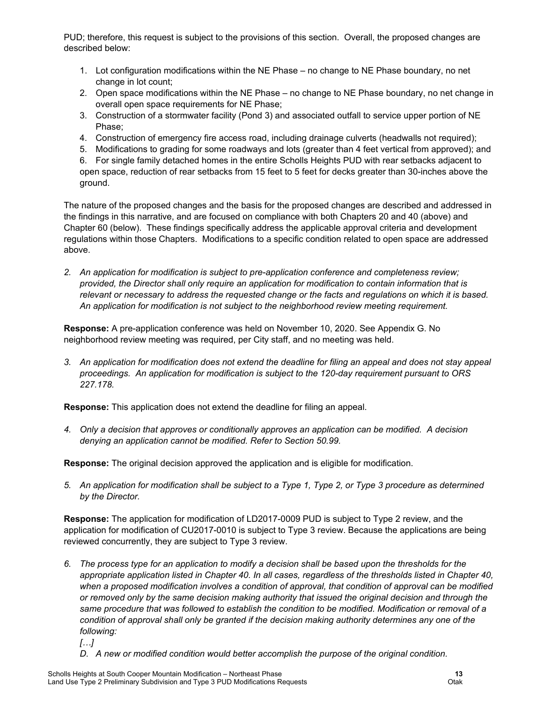PUD; therefore, this request is subject to the provisions of this section. Overall, the proposed changes are described below:

- 1. Lot configuration modifications within the NE Phase no change to NE Phase boundary, no net change in lot count;
- 2. Open space modifications within the NE Phase no change to NE Phase boundary, no net change in overall open space requirements for NE Phase;
- 3. Construction of a stormwater facility (Pond 3) and associated outfall to service upper portion of NE Phase;
- 4. Construction of emergency fire access road, including drainage culverts (headwalls not required);
- 5. Modifications to grading for some roadways and lots (greater than 4 feet vertical from approved); and

6. For single family detached homes in the entire Scholls Heights PUD with rear setbacks adjacent to open space, reduction of rear setbacks from 15 feet to 5 feet for decks greater than 30-inches above the ground.

The nature of the proposed changes and the basis for the proposed changes are described and addressed in the findings in this narrative, and are focused on compliance with both Chapters 20 and 40 (above) and Chapter 60 (below). These findings specifically address the applicable approval criteria and development regulations within those Chapters. Modifications to a specific condition related to open space are addressed above.

*2. An application for modification is subject to pre-application conference and completeness review; provided, the Director shall only require an application for modification to contain information that is relevant or necessary to address the requested change or the facts and regulations on which it is based. An application for modification is not subject to the neighborhood review meeting requirement.* 

**Response:** A pre-application conference was held on November 10, 2020. See Appendix G. No neighborhood review meeting was required, per City staff, and no meeting was held.

*3. An application for modification does not extend the deadline for filing an appeal and does not stay appeal proceedings. An application for modification is subject to the 120-day requirement pursuant to ORS 227.178.* 

**Response:** This application does not extend the deadline for filing an appeal.

*4. Only a decision that approves or conditionally approves an application can be modified. A decision denying an application cannot be modified. Refer to Section 50.99.* 

**Response:** The original decision approved the application and is eligible for modification.

*5. An application for modification shall be subject to a Type 1, Type 2, or Type 3 procedure as determined by the Director.*

**Response:** The application for modification of LD2017-0009 PUD is subject to Type 2 review, and the application for modification of CU2017-0010 is subject to Type 3 review. Because the applications are being reviewed concurrently, they are subject to Type 3 review.

- *6. The process type for an application to modify a decision shall be based upon the thresholds for the appropriate application listed in Chapter 40. In all cases, regardless of the thresholds listed in Chapter 40,*  when a proposed modification involves a condition of approval, that condition of approval can be modified *or removed only by the same decision making authority that issued the original decision and through the same procedure that was followed to establish the condition to be modified. Modification or removal of a condition of approval shall only be granted if the decision making authority determines any one of the following:* 
	- *[…]*
	- *D. A new or modified condition would better accomplish the purpose of the original condition.*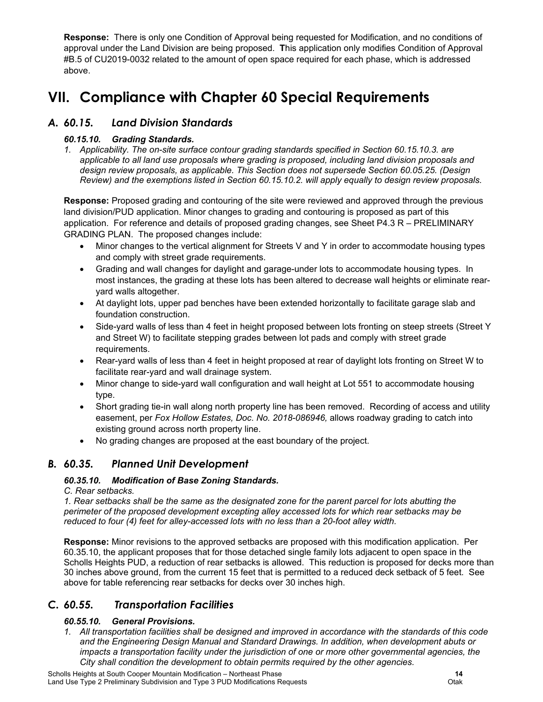**Response:** There is only one Condition of Approval being requested for Modification, and no conditions of approval under the Land Division are being proposed. **T**his application only modifies Condition of Approval #B.5 of CU2019-0032 related to the amount of open space required for each phase, which is addressed above.

## **VII. Compliance with Chapter 60 Special Requirements**

## *A. 60.15. Land Division Standards*

### *60.15.10. Grading Standards.*

*1. Applicability. The on-site surface contour grading standards specified in Section 60.15.10.3. are applicable to all land use proposals where grading is proposed, including land division proposals and design review proposals, as applicable. This Section does not supersede Section 60.05.25. (Design Review) and the exemptions listed in Section 60.15.10.2. will apply equally to design review proposals.*

**Response:** Proposed grading and contouring of the site were reviewed and approved through the previous land division/PUD application. Minor changes to grading and contouring is proposed as part of this application. For reference and details of proposed grading changes, see Sheet P4.3 R – PRELIMINARY GRADING PLAN. The proposed changes include:

- Minor changes to the vertical alignment for Streets V and Y in order to accommodate housing types and comply with street grade requirements.
- Grading and wall changes for daylight and garage-under lots to accommodate housing types. In most instances, the grading at these lots has been altered to decrease wall heights or eliminate rearyard walls altogether.
- At daylight lots, upper pad benches have been extended horizontally to facilitate garage slab and foundation construction.
- Side-yard walls of less than 4 feet in height proposed between lots fronting on steep streets (Street Y and Street W) to facilitate stepping grades between lot pads and comply with street grade requirements.
- Rear-yard walls of less than 4 feet in height proposed at rear of daylight lots fronting on Street W to facilitate rear-yard and wall drainage system.
- Minor change to side-yard wall configuration and wall height at Lot 551 to accommodate housing type.
- Short grading tie-in wall along north property line has been removed. Recording of access and utility easement, per *Fox Hollow Estates, Doc. No. 2018-086946,* allows roadway grading to catch into existing ground across north property line.
- No grading changes are proposed at the east boundary of the project.

## *B. 60.35. Planned Unit Development*

### *60.35.10. Modification of Base Zoning Standards.*

#### *C. Rear setbacks.*

*1. Rear setbacks shall be the same as the designated zone for the parent parcel for lots abutting the perimeter of the proposed development excepting alley accessed lots for which rear setbacks may be reduced to four (4) feet for alley-accessed lots with no less than a 20-foot alley width.*

**Response:** Minor revisions to the approved setbacks are proposed with this modification application. Per 60.35.10, the applicant proposes that for those detached single family lots adjacent to open space in the Scholls Heights PUD, a reduction of rear setbacks is allowed. This reduction is proposed for decks more than 30 inches above ground, from the current 15 feet that is permitted to a reduced deck setback of 5 feet. See above for table referencing rear setbacks for decks over 30 inches high.

## *C. 60.55. Transportation Facilities*

### *60.55.10. General Provisions.*

*1. All transportation facilities shall be designed and improved in accordance with the standards of this code and the Engineering Design Manual and Standard Drawings. In addition, when development abuts or impacts a transportation facility under the jurisdiction of one or more other governmental agencies, the City shall condition the development to obtain permits required by the other agencies.*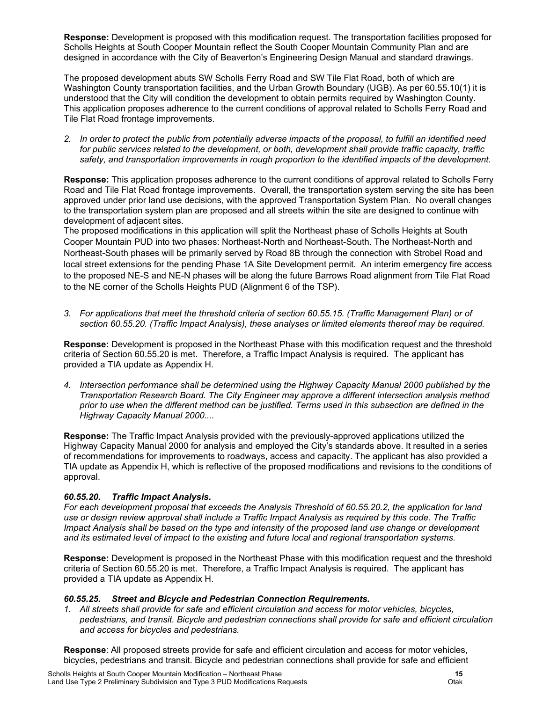**Response:** Development is proposed with this modification request. The transportation facilities proposed for Scholls Heights at South Cooper Mountain reflect the South Cooper Mountain Community Plan and are designed in accordance with the City of Beaverton's Engineering Design Manual and standard drawings.

The proposed development abuts SW Scholls Ferry Road and SW Tile Flat Road, both of which are Washington County transportation facilities, and the Urban Growth Boundary (UGB). As per 60.55.10(1) it is understood that the City will condition the development to obtain permits required by Washington County. This application proposes adherence to the current conditions of approval related to Scholls Ferry Road and Tile Flat Road frontage improvements.

*2. In order to protect the public from potentially adverse impacts of the proposal, to fulfill an identified need for public services related to the development, or both, development shall provide traffic capacity, traffic safety, and transportation improvements in rough proportion to the identified impacts of the development.* 

**Response:** This application proposes adherence to the current conditions of approval related to Scholls Ferry Road and Tile Flat Road frontage improvements. Overall, the transportation system serving the site has been approved under prior land use decisions, with the approved Transportation System Plan. No overall changes to the transportation system plan are proposed and all streets within the site are designed to continue with development of adjacent sites.

The proposed modifications in this application will split the Northeast phase of Scholls Heights at South Cooper Mountain PUD into two phases: Northeast-North and Northeast-South. The Northeast-North and Northeast-South phases will be primarily served by Road 8B through the connection with Strobel Road and local street extensions for the pending Phase 1A Site Development permit. An interim emergency fire access to the proposed NE-S and NE-N phases will be along the future Barrows Road alignment from Tile Flat Road to the NE corner of the Scholls Heights PUD (Alignment 6 of the TSP).

*3. For applications that meet the threshold criteria of section 60.55.15. (Traffic Management Plan) or of section 60.55.20. (Traffic Impact Analysis), these analyses or limited elements thereof may be required.*

**Response:** Development is proposed in the Northeast Phase with this modification request and the threshold criteria of Section 60.55.20 is met. Therefore, a Traffic Impact Analysis is required. The applicant has provided a TIA update as Appendix H.

*4. Intersection performance shall be determined using the Highway Capacity Manual 2000 published by the Transportation Research Board. The City Engineer may approve a different intersection analysis method prior to use when the different method can be justified. Terms used in this subsection are defined in the Highway Capacity Manual 2000....*

**Response:** The Traffic Impact Analysis provided with the previously-approved applications utilized the Highway Capacity Manual 2000 for analysis and employed the City's standards above. It resulted in a series of recommendations for improvements to roadways, access and capacity. The applicant has also provided a TIA update as Appendix H, which is reflective of the proposed modifications and revisions to the conditions of approval.

### *60.55.20. Traffic Impact Analysis.*

*For each development proposal that exceeds the Analysis Threshold of 60.55.20.2, the application for land use or design review approval shall include a Traffic Impact Analysis as required by this code. The Traffic Impact Analysis shall be based on the type and intensity of the proposed land use change or development and its estimated level of impact to the existing and future local and regional transportation systems.*

**Response:** Development is proposed in the Northeast Phase with this modification request and the threshold criteria of Section 60.55.20 is met. Therefore, a Traffic Impact Analysis is required. The applicant has provided a TIA update as Appendix H.

#### *60.55.25. Street and Bicycle and Pedestrian Connection Requirements.*

*1. All streets shall provide for safe and efficient circulation and access for motor vehicles, bicycles, pedestrians, and transit. Bicycle and pedestrian connections shall provide for safe and efficient circulation and access for bicycles and pedestrians.*

**Response**: All proposed streets provide for safe and efficient circulation and access for motor vehicles, bicycles, pedestrians and transit. Bicycle and pedestrian connections shall provide for safe and efficient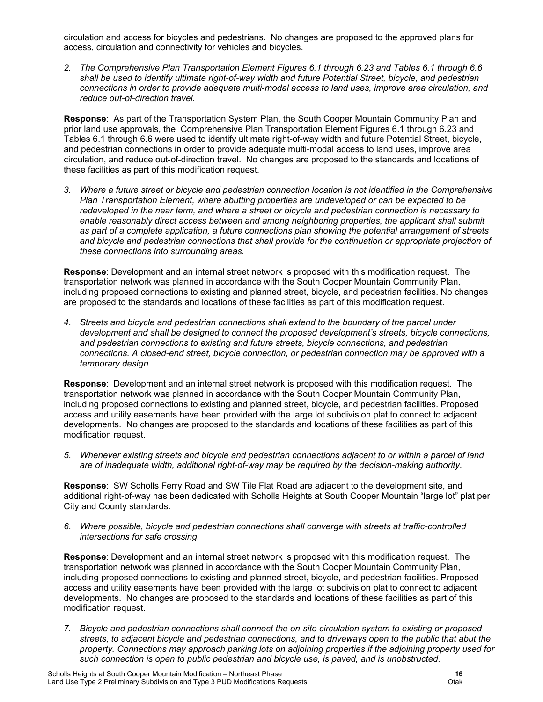circulation and access for bicycles and pedestrians. No changes are proposed to the approved plans for access, circulation and connectivity for vehicles and bicycles.

*2. The Comprehensive Plan Transportation Element Figures 6.1 through 6.23 and Tables 6.1 through 6.6 shall be used to identify ultimate right-of-way width and future Potential Street, bicycle, and pedestrian connections in order to provide adequate multi-modal access to land uses, improve area circulation, and reduce out-of-direction travel.*

**Response**: As part of the Transportation System Plan, the South Cooper Mountain Community Plan and prior land use approvals, the Comprehensive Plan Transportation Element Figures 6.1 through 6.23 and Tables 6.1 through 6.6 were used to identify ultimate right-of-way width and future Potential Street, bicycle, and pedestrian connections in order to provide adequate multi-modal access to land uses, improve area circulation, and reduce out-of-direction travel. No changes are proposed to the standards and locations of these facilities as part of this modification request.

*3. Where a future street or bicycle and pedestrian connection location is not identified in the Comprehensive Plan Transportation Element, where abutting properties are undeveloped or can be expected to be redeveloped in the near term, and where a street or bicycle and pedestrian connection is necessary to*  enable reasonably direct access between and among neighboring properties, the applicant shall submit *as part of a complete application, a future connections plan showing the potential arrangement of streets*  and bicycle and pedestrian connections that shall provide for the continuation or appropriate projection of *these connections into surrounding areas.*

**Response**: Development and an internal street network is proposed with this modification request. The transportation network was planned in accordance with the South Cooper Mountain Community Plan, including proposed connections to existing and planned street, bicycle, and pedestrian facilities. No changes are proposed to the standards and locations of these facilities as part of this modification request.

*4. Streets and bicycle and pedestrian connections shall extend to the boundary of the parcel under development and shall be designed to connect the proposed development's streets, bicycle connections, and pedestrian connections to existing and future streets, bicycle connections, and pedestrian connections. A closed-end street, bicycle connection, or pedestrian connection may be approved with a temporary design.*

**Response**: Development and an internal street network is proposed with this modification request. The transportation network was planned in accordance with the South Cooper Mountain Community Plan, including proposed connections to existing and planned street, bicycle, and pedestrian facilities. Proposed access and utility easements have been provided with the large lot subdivision plat to connect to adjacent developments. No changes are proposed to the standards and locations of these facilities as part of this modification request.

*5. Whenever existing streets and bicycle and pedestrian connections adjacent to or within a parcel of land are of inadequate width, additional right-of-way may be required by the decision-making authority.*

**Response**: SW Scholls Ferry Road and SW Tile Flat Road are adjacent to the development site, and additional right-of-way has been dedicated with Scholls Heights at South Cooper Mountain "large lot" plat per City and County standards.

*6. Where possible, bicycle and pedestrian connections shall converge with streets at traffic-controlled intersections for safe crossing.*

**Response**: Development and an internal street network is proposed with this modification request. The transportation network was planned in accordance with the South Cooper Mountain Community Plan, including proposed connections to existing and planned street, bicycle, and pedestrian facilities. Proposed access and utility easements have been provided with the large lot subdivision plat to connect to adjacent developments. No changes are proposed to the standards and locations of these facilities as part of this modification request.

*7. Bicycle and pedestrian connections shall connect the on-site circulation system to existing or proposed streets, to adjacent bicycle and pedestrian connections, and to driveways open to the public that abut the property. Connections may approach parking lots on adjoining properties if the adjoining property used for such connection is open to public pedestrian and bicycle use, is paved, and is unobstructed.*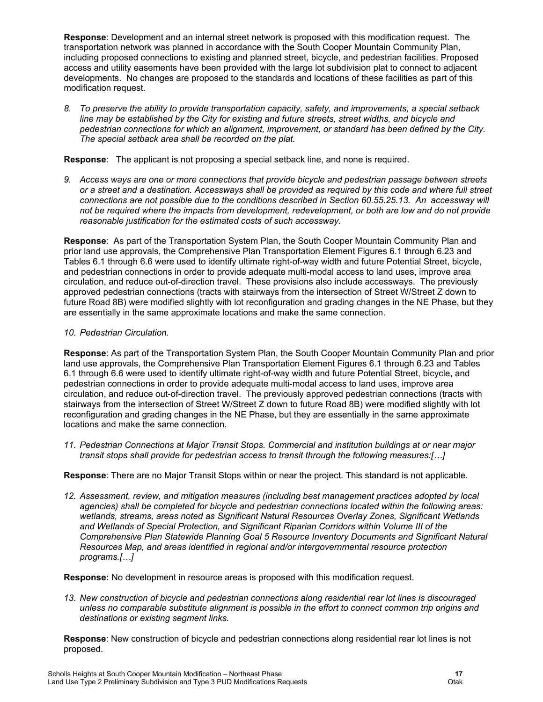**Response**: Development and an internal street network is proposed with this modification request. The transportation network was planned in accordance with the South Cooper Mountain Community Plan, including proposed connections to existing and planned street, bicycle, and pedestrian facilities. Proposed access and utility easements have been provided with the large lot subdivision plat to connect to adjacent developments. No changes are proposed to the standards and locations of these facilities as part of this modification request.

*8. To preserve the ability to provide transportation capacity, safety, and improvements, a special setback*  line may be established by the City for existing and future streets, street widths, and bicycle and *pedestrian connections for which an alignment, improvement, or standard has been defined by the City. The special setback area shall be recorded on the plat.*

**Response**: The applicant is not proposing a special setback line, and none is required.

*9. Access ways are one or more connections that provide bicycle and pedestrian passage between streets or a street and a destination. Accessways shall be provided as required by this code and where full street connections are not possible due to the conditions described in Section 60.55.25.13. An accessway will not be required where the impacts from development, redevelopment, or both are low and do not provide reasonable justification for the estimated costs of such accessway.*

**Response**: As part of the Transportation System Plan, the South Cooper Mountain Community Plan and prior land use approvals, the Comprehensive Plan Transportation Element Figures 6.1 through 6.23 and Tables 6.1 through 6.6 were used to identify ultimate right-of-way width and future Potential Street, bicycle, and pedestrian connections in order to provide adequate multi-modal access to land uses, improve area circulation, and reduce out-of-direction travel. These provisions also include accessways. The previously approved pedestrian connections (tracts with stairways from the intersection of Street W/Street Z down to future Road 8B) were modified slightly with lot reconfiguration and grading changes in the NE Phase, but they are essentially in the same approximate locations and make the same connection.

#### *10. Pedestrian Circulation.*

**Response**: As part of the Transportation System Plan, the South Cooper Mountain Community Plan and prior land use approvals, the Comprehensive Plan Transportation Element Figures 6.1 through 6.23 and Tables 6.1 through 6.6 were used to identify ultimate right-of-way width and future Potential Street, bicycle, and pedestrian connections in order to provide adequate multi-modal access to land uses, improve area circulation, and reduce out-of-direction travel. The previously approved pedestrian connections (tracts with stairways from the intersection of Street W/Street Z down to future Road 8B) were modified slightly with lot reconfiguration and grading changes in the NE Phase, but they are essentially in the same approximate locations and make the same connection.

*11. Pedestrian Connections at Major Transit Stops. Commercial and institution buildings at or near major transit stops shall provide for pedestrian access to transit through the following measures:[…]*

**Response**: There are no Major Transit Stops within or near the project. This standard is not applicable.

*12. Assessment, review, and mitigation measures (including best management practices adopted by local agencies) shall be completed for bicycle and pedestrian connections located within the following areas: wetlands, streams, areas noted as Significant Natural Resources Overlay Zones, Significant Wetlands and Wetlands of Special Protection, and Significant Riparian Corridors within Volume III of the Comprehensive Plan Statewide Planning Goal 5 Resource Inventory Documents and Significant Natural Resources Map, and areas identified in regional and/or intergovernmental resource protection programs.[…]*

**Response:** No development in resource areas is proposed with this modification request.

*13. New construction of bicycle and pedestrian connections along residential rear lot lines is discouraged unless no comparable substitute alignment is possible in the effort to connect common trip origins and destinations or existing segment links.*

**Response**: New construction of bicycle and pedestrian connections along residential rear lot lines is not proposed.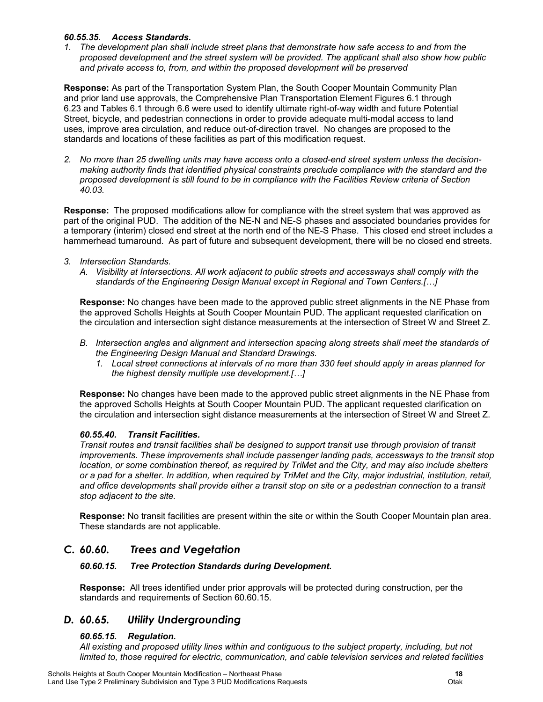#### *60.55.35. Access Standards.*

*1. The development plan shall include street plans that demonstrate how safe access to and from the proposed development and the street system will be provided. The applicant shall also show how public and private access to, from, and within the proposed development will be preserved*

**Response:** As part of the Transportation System Plan, the South Cooper Mountain Community Plan and prior land use approvals, the Comprehensive Plan Transportation Element Figures 6.1 through 6.23 and Tables 6.1 through 6.6 were used to identify ultimate right-of-way width and future Potential Street, bicycle, and pedestrian connections in order to provide adequate multi-modal access to land uses, improve area circulation, and reduce out-of-direction travel. No changes are proposed to the standards and locations of these facilities as part of this modification request.

*2. No more than 25 dwelling units may have access onto a closed-end street system unless the decisionmaking authority finds that identified physical constraints preclude compliance with the standard and the proposed development is still found to be in compliance with the Facilities Review criteria of Section 40.03.* 

**Response:** The proposed modifications allow for compliance with the street system that was approved as part of the original PUD. The addition of the NE-N and NE-S phases and associated boundaries provides for a temporary (interim) closed end street at the north end of the NE-S Phase. This closed end street includes a hammerhead turnaround. As part of future and subsequent development, there will be no closed end streets.

- *3. Intersection Standards.*
	- *A. Visibility at Intersections. All work adjacent to public streets and accessways shall comply with the standards of the Engineering Design Manual except in Regional and Town Centers.[…]*

**Response:** No changes have been made to the approved public street alignments in the NE Phase from the approved Scholls Heights at South Cooper Mountain PUD. The applicant requested clarification on the circulation and intersection sight distance measurements at the intersection of Street W and Street Z.

- *B. Intersection angles and alignment and intersection spacing along streets shall meet the standards of the Engineering Design Manual and Standard Drawings.*
	- *1. Local street connections at intervals of no more than 330 feet should apply in areas planned for the highest density multiple use development.[…]*

**Response:** No changes have been made to the approved public street alignments in the NE Phase from the approved Scholls Heights at South Cooper Mountain PUD. The applicant requested clarification on the circulation and intersection sight distance measurements at the intersection of Street W and Street Z.

#### *60.55.40. Transit Facilities.*

*Transit routes and transit facilities shall be designed to support transit use through provision of transit improvements. These improvements shall include passenger landing pads, accessways to the transit stop location, or some combination thereof, as required by TriMet and the City, and may also include shelters or a pad for a shelter. In addition, when required by TriMet and the City, major industrial, institution, retail,*  and office developments shall provide either a transit stop on site or a pedestrian connection to a transit *stop adjacent to the site.*

**Response:** No transit facilities are present within the site or within the South Cooper Mountain plan area. These standards are not applicable.

## *C. 60.60. Trees and Vegetation*

#### *60.60.15. Tree Protection Standards during Development.*

**Response:** All trees identified under prior approvals will be protected during construction, per the standards and requirements of Section 60.60.15.

## *D. 60.65. Utility Undergrounding*

#### *60.65.15. Regulation.*

*All existing and proposed utility lines within and contiguous to the subject property, including, but not limited to, those required for electric, communication, and cable television services and related facilities*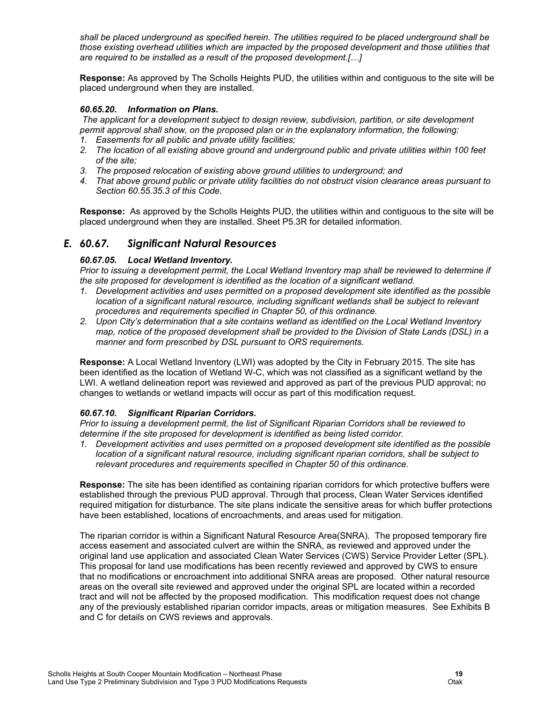*shall be placed underground as specified herein. The utilities required to be placed underground shall be those existing overhead utilities which are impacted by the proposed development and those utilities that are required to be installed as a result of the proposed development.[…]*

**Response:** As approved by The Scholls Heights PUD, the utilities within and contiguous to the site will be placed underground when they are installed.

#### *60.65.20. Information on Plans.*

*The applicant for a development subject to design review, subdivision, partition, or site development permit approval shall show, on the proposed plan or in the explanatory information, the following:*

- *1. Easements for all public and private utility facilities;*
- *2. The location of all existing above ground and underground public and private utilities within 100 feet of the site;*
- *3. The proposed relocation of existing above ground utilities to underground; and*
- *4. That above ground public or private utility facilities do not obstruct vision clearance areas pursuant to Section 60.55.35.3 of this Code.*

**Response:** As approved by the Scholls Heights PUD, the utilities within and contiguous to the site will be placed underground when they are installed. Sheet P5.3R for detailed information.

### *E. 60.67. Significant Natural Resources*

#### *60.67.05. Local Wetland Inventory.*

*Prior to issuing a development permit, the Local Wetland Inventory map shall be reviewed to determine if the site proposed for development is identified as the location of a significant wetland.*

- *1. Development activities and uses permitted on a proposed development site identified as the possible location of a significant natural resource, including significant wetlands shall be subject to relevant procedures and requirements specified in Chapter 50, of this ordinance.*
- *2. Upon City's determination that a site contains wetland as identified on the Local Wetland Inventory map, notice of the proposed development shall be provided to the Division of State Lands (DSL) in a manner and form prescribed by DSL pursuant to ORS requirements.*

**Response:** A Local Wetland Inventory (LWI) was adopted by the City in February 2015. The site has been identified as the location of Wetland W-C, which was not classified as a significant wetland by the LWI. A wetland delineation report was reviewed and approved as part of the previous PUD approval; no changes to wetlands or wetland impacts will occur as part of this modification request.

#### *60.67.10. Significant Riparian Corridors.*

*Prior to issuing a development permit, the list of Significant Riparian Corridors shall be reviewed to determine if the site proposed for development is identified as being listed corridor.* 

*1. Development activities and uses permitted on a proposed development site identified as the possible location of a significant natural resource, including significant riparian corridors, shall be subject to relevant procedures and requirements specified in Chapter 50 of this ordinance.* 

**Response:** The site has been identified as containing riparian corridors for which protective buffers were established through the previous PUD approval. Through that process, Clean Water Services identified required mitigation for disturbance. The site plans indicate the sensitive areas for which buffer protections have been established, locations of encroachments, and areas used for mitigation.

The riparian corridor is within a Significant Natural Resource Area(SNRA). The proposed temporary fire access easement and associated culvert are within the SNRA, as reviewed and approved under the original land use application and associated Clean Water Services (CWS) Service Provider Letter (SPL). This proposal for land use modifications has been recently reviewed and approved by CWS to ensure that no modifications or encroachment into additional SNRA areas are proposed. Other natural resource areas on the overall site reviewed and approved under the original SPL are located within a recorded tract and will not be affected by the proposed modification. This modification request does not change any of the previously established riparian corridor impacts, areas or mitigation measures. See Exhibits B and C for details on CWS reviews and approvals.